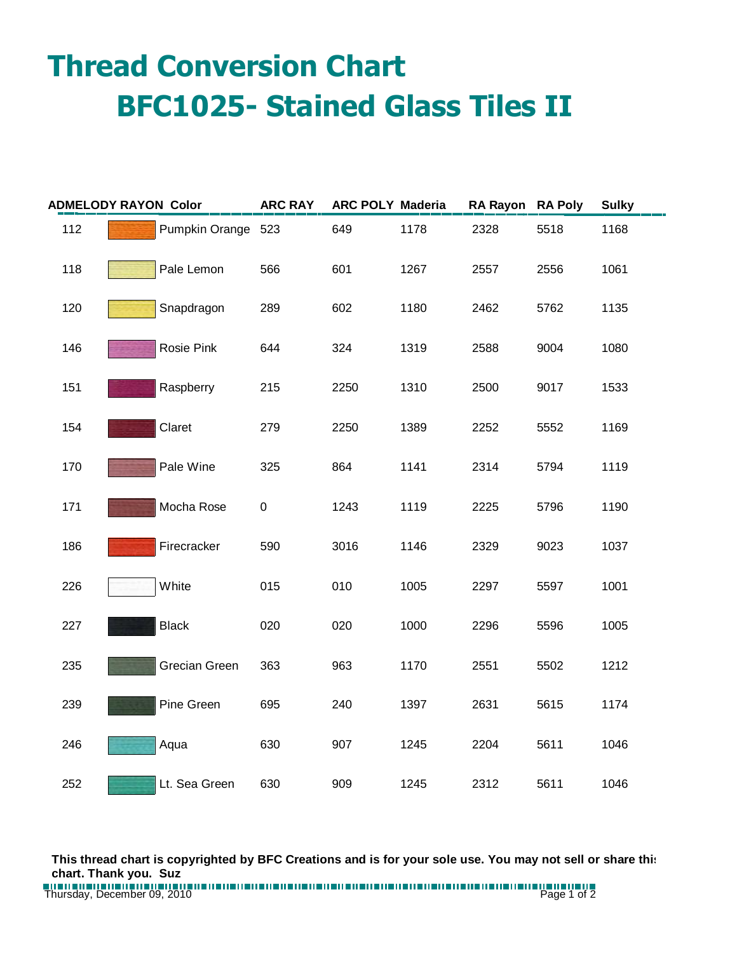## **Thread Conversion Chart BFC1025- Stained Glass Tiles II**

| <b>ADMELODY RAYON Color</b> |  |                    | <b>ARC RAY</b> | <b>ARC POLY Maderia</b> |      | RA Rayon RA Poly |      | <b>Sulky</b> |
|-----------------------------|--|--------------------|----------------|-------------------------|------|------------------|------|--------------|
| 112                         |  | Pumpkin Orange 523 |                | 649                     | 1178 | 2328             | 5518 | 1168         |
| 118                         |  | Pale Lemon         | 566            | 601                     | 1267 | 2557             | 2556 | 1061         |
| 120                         |  | Snapdragon         | 289            | 602                     | 1180 | 2462             | 5762 | 1135         |
| 146                         |  | Rosie Pink         | 644            | 324                     | 1319 | 2588             | 9004 | 1080         |
| 151                         |  | Raspberry          | 215            | 2250                    | 1310 | 2500             | 9017 | 1533         |
| 154                         |  | Claret             | 279            | 2250                    | 1389 | 2252             | 5552 | 1169         |
| 170                         |  | Pale Wine          | 325            | 864                     | 1141 | 2314             | 5794 | 1119         |
| 171                         |  | Mocha Rose         | $\pmb{0}$      | 1243                    | 1119 | 2225             | 5796 | 1190         |
| 186                         |  | Firecracker        | 590            | 3016                    | 1146 | 2329             | 9023 | 1037         |
| 226                         |  | White              | 015            | 010                     | 1005 | 2297             | 5597 | 1001         |
| 227                         |  | <b>Black</b>       | 020            | 020                     | 1000 | 2296             | 5596 | 1005         |
| 235                         |  | Grecian Green      | 363            | 963                     | 1170 | 2551             | 5502 | 1212         |
| 239                         |  | Pine Green         | 695            | 240                     | 1397 | 2631             | 5615 | 1174         |
| 246                         |  | Aqua               | 630            | 907                     | 1245 | 2204             | 5611 | 1046         |
| 252                         |  | Lt. Sea Green      | 630            | 909                     | 1245 | 2312             | 5611 | 1046         |

**This thread chart is copyrighted by BFC Creations and is for your sole use. You may not sell or share this chart. Thank you. Suz**